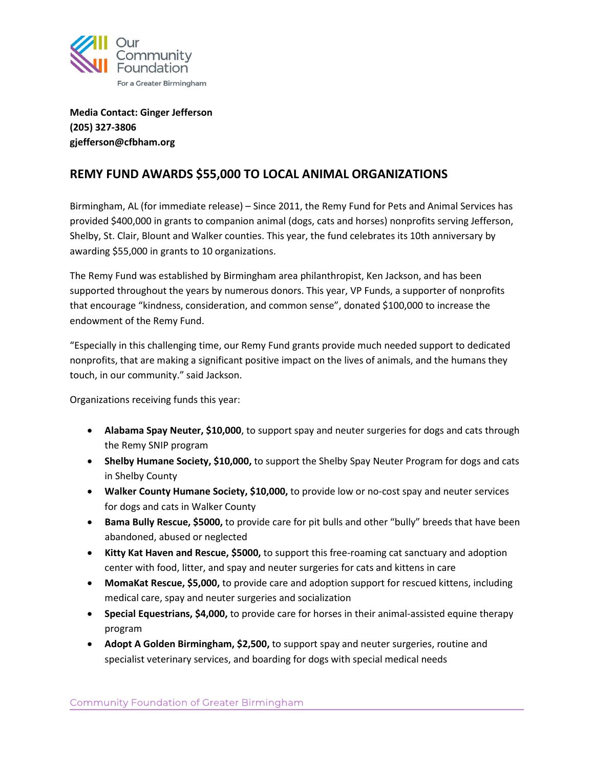

**Media Contact: Ginger Jefferson (205) 327-3806 gjefferson@cfbham.org** 

## **REMY FUND AWARDS \$55,000 TO LOCAL ANIMAL ORGANIZATIONS**

Birmingham, AL (for immediate release) – Since 2011, the Remy Fund for Pets and Animal Services has provided \$400,000 in grants to companion animal (dogs, cats and horses) nonprofits serving Jefferson, Shelby, St. Clair, Blount and Walker counties. This year, the fund celebrates its 10th anniversary by awarding \$55,000 in grants to 10 organizations.

The Remy Fund was established by Birmingham area philanthropist, Ken Jackson, and has been supported throughout the years by numerous donors. This year, VP Funds, a supporter of nonprofits that encourage "kindness, consideration, and common sense", donated \$100,000 to increase the endowment of the Remy Fund.

"Especially in this challenging time, our Remy Fund grants provide much needed support to dedicated nonprofits, that are making a significant positive impact on the lives of animals, and the humans they touch, in our community." said Jackson.

Organizations receiving funds this year:

- **Alabama Spay Neuter, \$10,000**, to support spay and neuter surgeries for dogs and cats through the Remy SNIP program
- **Shelby Humane Society, \$10,000,** to support the Shelby Spay Neuter Program for dogs and cats in Shelby County
- **Walker County Humane Society, \$10,000,** to provide low or no-cost spay and neuter services for dogs and cats in Walker County
- **Bama Bully Rescue, \$5000,** to provide care for pit bulls and other "bully" breeds that have been abandoned, abused or neglected
- **Kitty Kat Haven and Rescue, \$5000,** to support this free-roaming cat sanctuary and adoption center with food, litter, and spay and neuter surgeries for cats and kittens in care
- **MomaKat Rescue, \$5,000,** to provide care and adoption support for rescued kittens, including medical care, spay and neuter surgeries and socialization
- **Special Equestrians, \$4,000,** to provide care for horses in their animal-assisted equine therapy program
- **Adopt A Golden Birmingham, \$2,500,** to support spay and neuter surgeries, routine and specialist veterinary services, and boarding for dogs with special medical needs